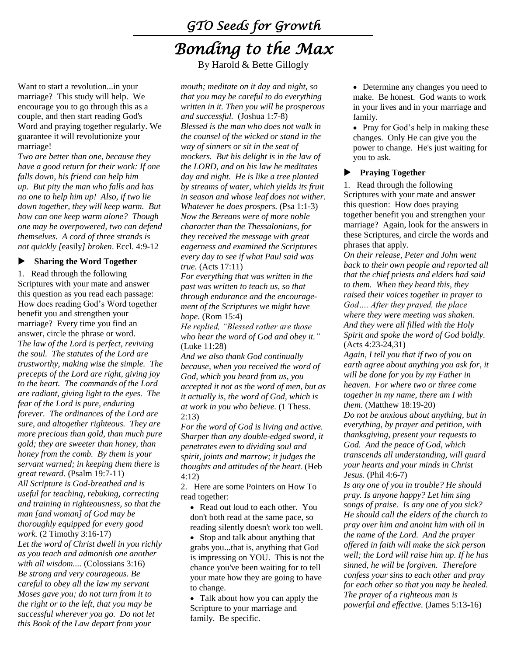## *GTO Seeds for Growth*

# *Bonding to the Max*

By Harold & Bette Gillogly

Want to start a revolution...in your marriage? This study will help. We encourage you to go through this as a couple, and then start reading God's Word and praying together regularly. We guarantee it will revolutionize your marriage!

*Two are better than one, because they have a good return for their work: If one falls down, his friend can help him up. But pity the man who falls and has no one to help him up! Also, if two lie down together, they will keep warm. But how can one keep warm alone? Though one may be overpowered, two can defend themselves. A cord of three strands is not quickly [*easily*] broken*. Eccl. 4:9-12

#### **Sharing the Word Together**

1. Read through the following Scriptures with your mate and answer this question as you read each passage: How does reading God's Word together benefit you and strengthen your marriage? Every time you find an answer, circle the phrase or word. *The law of the Lord is perfect, reviving the soul. The statutes of the Lord are trustworthy, making wise the simple. The precepts of the Lord are right, giving joy to the heart. The commands of the Lord are radiant, giving light to the eyes. The fear of the Lord is pure, enduring forever. The ordinances of the Lord are sure, and altogether righteous. They are more precious than gold, than much pure gold; they are sweeter than honey, than honey from the comb. By them is your servant warned; in keeping them there is great reward.* (Psalm 19:7-11) *All Scripture is God-breathed and is useful for teaching, rebuking, correcting and training in righteousness, so that the man [and woman] of God may be thoroughly equipped for every good work.* (2 Timothy 3:16-17) *Let the word of Christ dwell in you richly as you teach and admonish one another with all wisdom....* (Colossians 3:16) *Be strong and very courageous. Be careful to obey all the law my servant Moses gave you; do not turn from it to the right or to the left, that you may be successful wherever you go. Do not let this Book of the Law depart from your* 

*mouth; meditate on it day and night, so that you may be careful to do everything written in it. Then you will be prosperous and successful.* (Joshua 1:7-8) *Blessed is the man who does not walk in the counsel of the wicked or stand in the way of sinners or sit in the seat of mockers. But his delight is in the law of the LORD, and on his law he meditates day and night. He is like a tree planted by streams of water, which yields its fruit in season and whose leaf does not wither. Whatever he does prospers.* (Psa 1:1-3) *Now the Bereans were of more noble character than the Thessalonians, for they received the message with great eagerness and examined the Scriptures every day to see if what Paul said was true.* (Acts 17:11)

*For everything that was written in the past was written to teach us, so that through endurance and the encouragement of the Scriptures we might have hope.* (Rom 15:4)

*He replied, "Blessed rather are those who hear the word of God and obey it."*  (Luke 11:28)

*And we also thank God continually because, when you received the word of God, which you heard from us, you accepted it not as the word of men, but as it actually is, the word of God, which is at work in you who believe.* (1 Thess. 2:13)

*For the word of God is living and active. Sharper than any double-edged sword, it penetrates even to dividing soul and spirit, joints and marrow; it judges the thoughts and attitudes of the heart.* (Heb 4:12)

2. Here are some Pointers on How To read together:

• Read out loud to each other. You don't both read at the same pace, so reading silently doesn't work too well.

• Stop and talk about anything that grabs you...that is, anything that God is impressing on YOU. This is not the chance you've been waiting for to tell your mate how they are going to have to change.

 Talk about how you can apply the Scripture to your marriage and family. Be specific.

• Determine any changes you need to make. Be honest. God wants to work in your lives and in your marriage and family.

• Pray for God's help in making these changes. Only He can give you the power to change. He's just waiting for you to ask.

#### **Praying Together**

1. Read through the following Scriptures with your mate and answer this question: How does praying together benefit you and strengthen your marriage? Again, look for the answers in these Scriptures, and circle the words and phrases that apply.

*On their release, Peter and John went back to their own people and reported all that the chief priests and elders had said to them. When they heard this, they raised their voices together in prayer to God…. After they prayed, the place where they were meeting was shaken. And they were all filled with the Holy Spirit and spoke the word of God boldly.*  (Acts 4:23-24,31)

*Again, I tell you that if two of you on earth agree about anything you ask for, it will be done for you by my Father in heaven. For where two or three come together in my name, there am I with them.* (Matthew 18:19-20)

*Do not be anxious about anything, but in everything, by prayer and petition, with thanksgiving, present your requests to God. And the peace of God, which transcends all understanding, will guard your hearts and your minds in Christ Jesus.* (Phil 4:6-7)

*Is any one of you in trouble? He should pray. Is anyone happy? Let him sing songs of praise. Is any one of you sick? He should call the elders of the church to pray over him and anoint him with oil in the name of the Lord. And the prayer offered in faith will make the sick person well; the Lord will raise him up. If he has sinned, he will be forgiven. Therefore confess your sins to each other and pray for each other so that you may be healed. The prayer of a righteous man is powerful and effective.* (James 5:13-16)